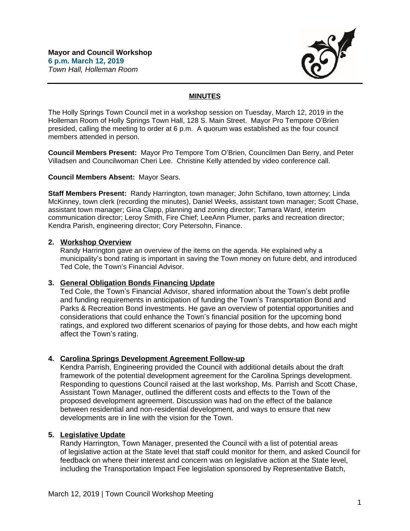

## **MINUTES**

The Holly Springs Town Council met in a workshop session on Tuesday, March 12, 2019 in the Holleman Room of Holly Springs Town Hall, 128 S. Main Street. Mayor Pro Tempore O'Brien presided, calling the meeting to order at 6 p.m. A quorum was established as the four council members attended in person.

**Council Members Present:** Mayor Pro Tempore Tom O'Brien, Councilmen Dan Berry, and Peter Villadsen and Councilwoman Cheri Lee. Christine Kelly attended by video conference call.

**Council Members Absent:** Mayor Sears.

**Staff Members Present:** Randy Harrington, town manager; John Schifano, town attorney; Linda McKinney, town clerk (recording the minutes), Daniel Weeks, assistant town manager; Scott Chase, assistant town manager; Gina Clapp, planning and zoning director; Tamara Ward, interim communication director; Leroy Smith, Fire Chief; LeeAnn Plumer, parks and recreation director; Kendra Parish, engineering director; Cory Petersohn, Finance.

### **2. Workshop Overview**

Randy Harrington gave an overview of the items on the agenda. He explained why a municipality's bond rating is important in saving the Town money on future debt, and introduced Ted Cole, the Town's Financial Advisor.

### **3. General Obligation Bonds Financing Update**

Ted Cole, the Town's Financial Advisor, shared information about the Town's debt profile and funding requirements in anticipation of funding the Town's Transportation Bond and Parks & Recreation Bond investments. He gave an overview of potential opportunities and considerations that could enhance the Town's financial position for the upcoming bond ratings, and explored two different scenarios of paying for those debts, and how each might affect the Town's rating.

# **4. Carolina Springs Development Agreement Follow-up**

Kendra Parrish, Engineering provided the Council with additional details about the draft framework of the potential development agreement for the Carolina Springs development. Responding to questions Council raised at the last workshop, Ms. Parrish and Scott Chase, Assistant Town Manager, outlined the different costs and effects to the Town of the proposed development agreement. Discussion was had on the effect of the balance between residential and non-residential development, and ways to ensure that new developments are in line with the vision for the Town.

# **5. Legislative Update**

Randy Harrington, Town Manager, presented the Council with a list of potential areas of legislative action at the State level that staff could monitor for them, and asked Council for feedback on where their interest and concern was on legislative action at the State level, including the Transportation Impact Fee legislation sponsored by Representative Batch,